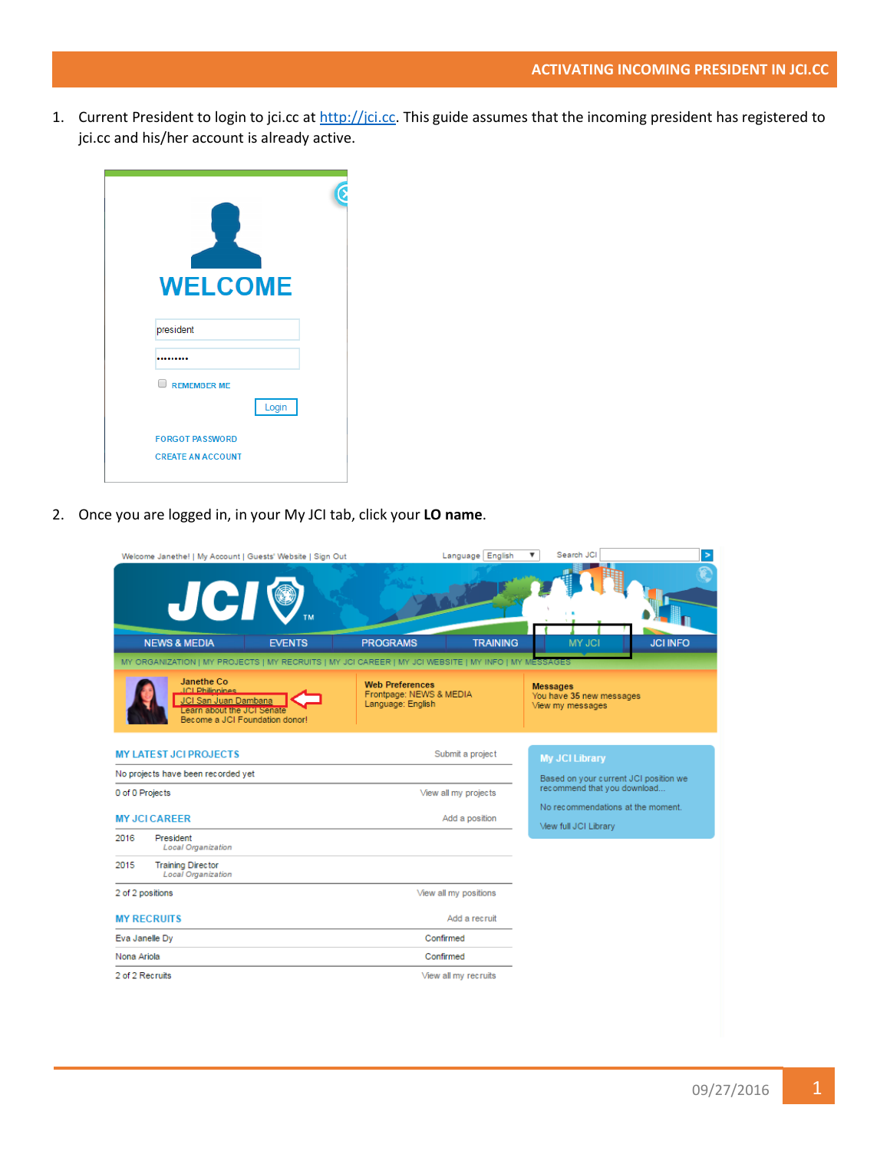1. Current President to login to jci.cc at [http://jci.cc.](http://jci.cc/) This guide assumes that the incoming president has registered to jci.cc and his/her account is already active.

| <b>WELCOME</b>               |  |
|------------------------------|--|
| president                    |  |
|                              |  |
| $\Box$<br><b>REMEMBER ME</b> |  |
| Login                        |  |
| <b>FORGOT PASSWORD</b>       |  |
| <b>CREATE AN ACCOUNT</b>     |  |

2. Once you are logged in, in your My JCI tab, click your **LO name**.

| Welcome Janethe!   My Account   Guests' Website   Sign Out                                                                    |               |                                                                        | Language English      | Search JCI<br>▼                                                 | $\,>\,$         |
|-------------------------------------------------------------------------------------------------------------------------------|---------------|------------------------------------------------------------------------|-----------------------|-----------------------------------------------------------------|-----------------|
| <b>JCI®</b>                                                                                                                   |               |                                                                        |                       |                                                                 |                 |
| <b>NEWS &amp; MEDIA</b>                                                                                                       | <b>EVENTS</b> | <b>PROGRAMS</b>                                                        | <b>TRAINING</b>       | <b>MY JCI</b>                                                   | <b>JCI INFO</b> |
| MY ORGANIZATION   MY PROJECTS   MY RECRUITS   MY JCI CAREER   MY JCI WEBSITE   MY INFO   MY MESSAGES                          |               |                                                                        |                       |                                                                 |                 |
| Janethe Co.<br><b>ICI Philinnines</b><br>JCI San Juan Dambana<br>Learn about the JCI Senate<br>Become a JCI Foundation donor! |               | <b>Web Preferences</b><br>Frontpage: NEWS & MEDIA<br>Language: English |                       | <b>Messages</b><br>You have 35 new messages<br>View my messages |                 |
| <b>MY LATEST JCI PROJECTS</b>                                                                                                 |               |                                                                        | Submit a project      | <b>My JCI Library</b>                                           |                 |
| No projects have been recorded yet                                                                                            |               |                                                                        |                       | Based on your current JCI position we                           |                 |
| 0 of 0 Projects                                                                                                               |               |                                                                        | View all my projects  | recommend that you download                                     |                 |
| <b>MY JCI CAREER</b>                                                                                                          |               |                                                                        | Add a position        | No recommendations at the moment.<br>Mew full JCI Library       |                 |
| 2016<br>President<br><b>Local Organization</b>                                                                                |               |                                                                        |                       |                                                                 |                 |
| 2015<br><b>Training Director</b><br><b>Local Organization</b>                                                                 |               |                                                                        |                       |                                                                 |                 |
| 2 of 2 positions                                                                                                              |               |                                                                        | View all my positions |                                                                 |                 |
| <b>MY RECRUITS</b>                                                                                                            |               |                                                                        | Add a recruit         |                                                                 |                 |
| Eva Janelle Dy                                                                                                                |               |                                                                        | Confirmed             |                                                                 |                 |
| Nona Ariola                                                                                                                   |               |                                                                        | Confirmed             |                                                                 |                 |
| 2 of 2 Recruits                                                                                                               |               |                                                                        | View all my recruits  |                                                                 |                 |
|                                                                                                                               |               |                                                                        |                       |                                                                 |                 |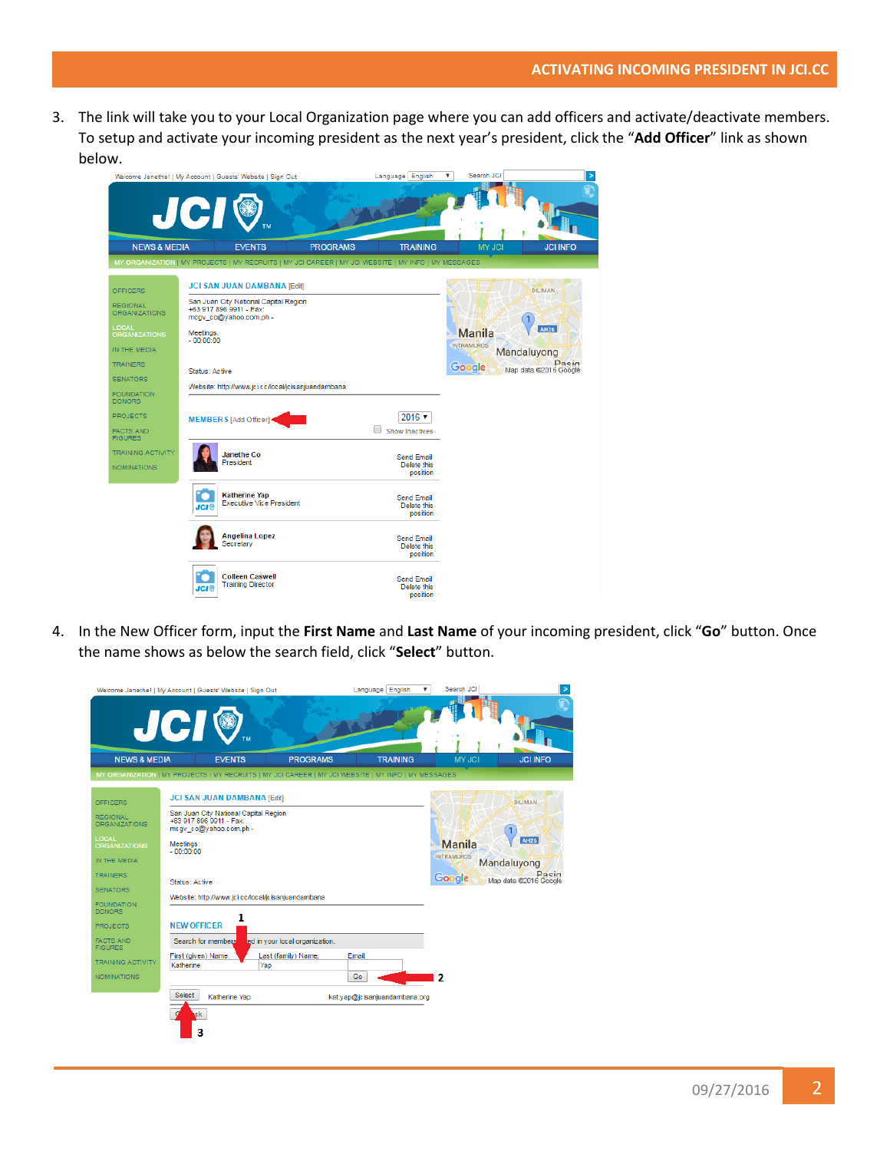3. The link will take you to your Local Organization page where you can add officers and activate/deactivate members. To setup and activate your incoming president as the next year's president, click the "**Add Officer**" link as shown below.

|                                                                                                                                                                                                                                       | Welcome Janethe!   My Account   Guests' Website   Sign Out<br><b>JCI®</b>                                                                                                                                                                                     |                 | Language English                             | Search JCI<br>۷.                      | $\geq$                                                                         |
|---------------------------------------------------------------------------------------------------------------------------------------------------------------------------------------------------------------------------------------|---------------------------------------------------------------------------------------------------------------------------------------------------------------------------------------------------------------------------------------------------------------|-----------------|----------------------------------------------|---------------------------------------|--------------------------------------------------------------------------------|
| <b>NEWS &amp; MEDIA</b>                                                                                                                                                                                                               | <b>EVENTS</b>                                                                                                                                                                                                                                                 | <b>PROGRAMS</b> | <b>TRAINING</b>                              | <b>MY JCI</b>                         | <b>JCI INFO</b>                                                                |
|                                                                                                                                                                                                                                       | MY ORGANIZATION   MY PROJECTS   MY RECRUITS   MY JCI CAREER   MY JCI WEBSITE   MY INFO   MY MESSAGES                                                                                                                                                          |                 |                                              |                                       |                                                                                |
| <b>OFFICERS</b><br><b>REGIONAL</b><br><b>ORGANIZATIONS</b><br><b>LOCAL</b><br><b>ORGANIZATIONS</b><br>IN THE MEDIA<br><b>TRAINERS</b><br><b>SENATORS</b><br><b>FOUNDATION</b><br><b>DONORS</b><br><b>PROJECTS</b><br><b>FACTS AND</b> | <b>JCI SAN JUAN DAMBANA [Edit]</b><br>San Juan City National Capital Region<br>+63 917 896 9911 - Fax:<br>mcqv co@yahoo.com.ph -<br>Meetings:<br>$-00:00:00$<br>Status: Active<br>Website: http://www.jci.cc/local/jcisanjuandambana<br>MEMBERS [Add Officer] |                 | $2016$ $\sqrt{ }$<br>Show Inactives          | Manila<br><b>INTRAMUROS</b><br>Google | <b>DILIMAN</b><br><b>AH26</b><br>Mandaluyong<br>Pasin<br>Map data @2016 Google |
| <b>FIGURES</b><br><b>TRAINING ACTIVITY</b><br><b>NOMINATIONS</b>                                                                                                                                                                      | <b>Janethe Co</b><br>President                                                                                                                                                                                                                                |                 | <b>Send Email</b><br>Delete this<br>position |                                       |                                                                                |
|                                                                                                                                                                                                                                       | <b>Katherine Yap</b><br>Executive Vice President<br><b>JCI®</b>                                                                                                                                                                                               |                 | <b>Send Email</b><br>Delete this<br>position |                                       |                                                                                |
|                                                                                                                                                                                                                                       | Angelina Lopez<br>Secretary                                                                                                                                                                                                                                   |                 | Send Email<br>Delete this<br>position        |                                       |                                                                                |
|                                                                                                                                                                                                                                       | <b>Colleen Caswell</b><br><b>Training Director</b><br><b>JCI 6</b>                                                                                                                                                                                            |                 | <b>Send Email</b><br>Delete this<br>position |                                       |                                                                                |

4. In the New Officer form, input the **First Name** and **Last Name** of your incoming president, click "**Go**" button. Once the name shows as below the search field, click "**Select**" button.

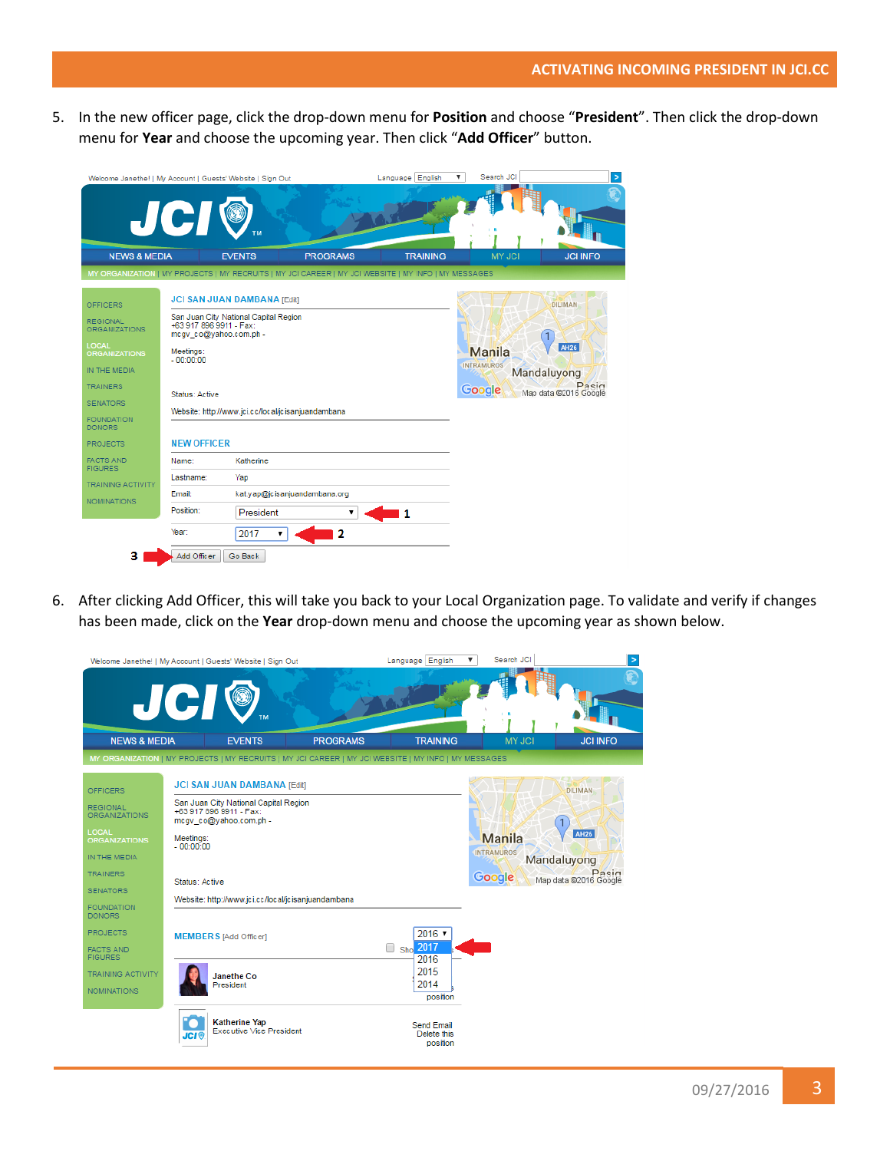5. In the new officer page, click the drop-down menu for **Position** and choose "**President**". Then click the drop-down menu for **Year** and choose the upcoming year. Then click "**Add Officer**" button.

| Welcome Janethe!   My Account   Guests' Website   Sign Out                                                                                        | <b>JCI®</b>                                                                                     |                                                                             |                                                                                                      | Language English | Search JCI<br>▼                       |                                                                                |
|---------------------------------------------------------------------------------------------------------------------------------------------------|-------------------------------------------------------------------------------------------------|-----------------------------------------------------------------------------|------------------------------------------------------------------------------------------------------|------------------|---------------------------------------|--------------------------------------------------------------------------------|
| <b>NEWS &amp; MEDIA</b>                                                                                                                           |                                                                                                 | <b>EVENTS</b>                                                               | <b>PROGRAMS</b>                                                                                      | <b>TRAINING</b>  | <b>MY JCI</b>                         | <b>JCI INFO</b>                                                                |
|                                                                                                                                                   |                                                                                                 |                                                                             | MY ORGANIZATION   MY PROJECTS   MY RECRUITS   MY JCI CAREER   MY JCI WEBSITE   MY INFO   MY MESSAGES |                  |                                       |                                                                                |
| <b>OFFICERS</b><br><b>REGIONAL</b><br><b>ORGANIZATIONS</b><br>LOCAL<br><b>ORGANIZATIONS</b><br>IN THE MEDIA<br><b>TRAINERS</b><br><b>SENATORS</b> | +63 917 896 9911 - Fax:<br>mcqv_co@yahoo.com.ph -<br>Meetings:<br>$-00:00:00$<br>Status: Active | <b>JCI SAN JUAN DAMBANA [Edit]</b><br>San Juan City National Capital Region |                                                                                                      |                  | Manila<br><b>INTRAMUROS</b><br>Google | <b>DILIMAN</b><br><b>AH26</b><br>Mandaluyong<br>Pasin<br>Map data @2016 Google |
| <b>FOUNDATION</b><br><b>DONORS</b><br><b>PROJECTS</b>                                                                                             | <b>NEW OFFICER</b>                                                                              |                                                                             | Website: http://www.jci.cc/local/icisanjuandambana                                                   |                  |                                       |                                                                                |
| <b>FACTS AND</b><br><b>FIGURES</b><br><b>TRAINING ACTIVITY</b><br><b>NOMINATIONS</b>                                                              | Name:<br>Lastname:<br>Email:<br>Position:                                                       | Katherine<br>Yap<br>President                                               | kat.yap@jcisanjuandambana.org                                                                        | 1                |                                       |                                                                                |
| з                                                                                                                                                 | Year:<br>Add Officer                                                                            | 2017<br>▼<br>Go Back                                                        | 2                                                                                                    |                  |                                       |                                                                                |

6. After clicking Add Officer, this will take you back to your Local Organization page. To validate and verify if changes has been made, click on the **Year** drop-down menu and choose the upcoming year as shown below.

|                                                                                                                                                                                                                   | Welcome Janethe!   My Account   Guests' Website   Sign Out                                                                                                                                                                                                           |                 | Language English<br>▼                                                                           | Search JCI                                   | $\geq$                                                                         |
|-------------------------------------------------------------------------------------------------------------------------------------------------------------------------------------------------------------------|----------------------------------------------------------------------------------------------------------------------------------------------------------------------------------------------------------------------------------------------------------------------|-----------------|-------------------------------------------------------------------------------------------------|----------------------------------------------|--------------------------------------------------------------------------------|
|                                                                                                                                                                                                                   | <b>JCI®</b>                                                                                                                                                                                                                                                          |                 |                                                                                                 |                                              |                                                                                |
| <b>NEWS &amp; MEDIA</b>                                                                                                                                                                                           | <b>EVENTS</b>                                                                                                                                                                                                                                                        | <b>PROGRAMS</b> | <b>TRAINING</b>                                                                                 | <b>MY JCI</b>                                | <b>JCI INFO</b>                                                                |
|                                                                                                                                                                                                                   | MY ORGANIZATION   MY PROJECTS   MY RECRUITS   MY JCI CAREER   MY JCI WEBSITE   MY INFO   MY MESSAGES                                                                                                                                                                 |                 |                                                                                                 |                                              |                                                                                |
| <b>OFFICERS</b><br><b>REGIONAL</b><br><b>ORGANIZATIONS</b><br><b>LOCAL</b><br><b>ORGANIZATIONS</b><br>IN THE MEDIA<br><b>TRAINERS</b><br><b>SENATORS</b><br><b>FOUNDATION</b><br><b>DONORS</b><br><b>PROJECTS</b> | <b>JCI SAN JUAN DAMBANA [Edit]</b><br>San Juan City National Capital Region<br>+63 917 896 9911 - Fax:<br>mcqv co@yahoo.com.ph -<br>Meetings:<br>$-00.00.00$<br>Status: Active<br>Website: http://www.jci.cc/local/jcisanjuandambana<br><b>MEMBERS</b> [Add Officer] |                 | $2016$ $\blacktriangledown$                                                                     | <b>Manila</b><br><b>INTRAMUROS</b><br>Google | <b>DILIMAN</b><br><b>AH26</b><br>Mandaluyong<br>Pacin<br>Map data @2016 Google |
| <b>FACTS AND</b><br><b>FIGURES</b><br><b>TRAINING ACTIVITY</b><br>NOMINATIONS                                                                                                                                     | Janethe Co<br>President<br><b>Katherine Yap</b><br>Executive Vice President<br><b>JCI®</b>                                                                                                                                                                           |                 | Sho 2017<br>$\Box$<br>2016<br>2015<br>2014<br>position<br>Send Email<br>Delete this<br>position |                                              |                                                                                |